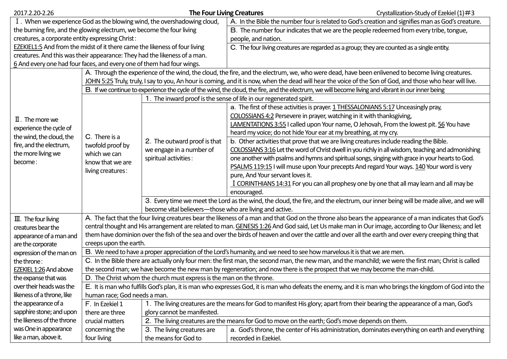| 2017.2.20-2.26                                                                                                                                   |                                                                                                                                                          | <b>The Four Living Creatures</b>                                                                                                   |                                                                                                                                                            | Crystallization-Study of Ezekiel $(1)$ #3                                                          |  |  |  |
|--------------------------------------------------------------------------------------------------------------------------------------------------|----------------------------------------------------------------------------------------------------------------------------------------------------------|------------------------------------------------------------------------------------------------------------------------------------|------------------------------------------------------------------------------------------------------------------------------------------------------------|----------------------------------------------------------------------------------------------------|--|--|--|
| I. When we experience God as the blowing wind, the overshadowing cloud,                                                                          |                                                                                                                                                          |                                                                                                                                    | A. In the Bible the number four is related to God's creation and signifies man as God's creature.                                                          |                                                                                                    |  |  |  |
| the burning fire, and the glowing electrum, we become the four living                                                                            |                                                                                                                                                          |                                                                                                                                    | B. The number four indicates that we are the people redeemed from every tribe, tongue,                                                                     |                                                                                                    |  |  |  |
| creatures, a corporate entity expressing Christ:                                                                                                 |                                                                                                                                                          |                                                                                                                                    | people, and nation.                                                                                                                                        |                                                                                                    |  |  |  |
| EZEKIEL1:5 And from the midst of it there came the likeness of four living                                                                       |                                                                                                                                                          |                                                                                                                                    | C. The four living creatures are regarded as a group; they are counted as a single entity.                                                                 |                                                                                                    |  |  |  |
| creatures. And this was their appearance: They had the likeness of a man.                                                                        |                                                                                                                                                          |                                                                                                                                    |                                                                                                                                                            |                                                                                                    |  |  |  |
| 6 And every one had four faces, and every one of them had four wings.                                                                            |                                                                                                                                                          |                                                                                                                                    |                                                                                                                                                            |                                                                                                    |  |  |  |
| A. Through the experience of the wind, the cloud, the fire, and the electrum, we, who were dead, have been enlivened to become living creatures. |                                                                                                                                                          |                                                                                                                                    |                                                                                                                                                            |                                                                                                    |  |  |  |
|                                                                                                                                                  |                                                                                                                                                          |                                                                                                                                    | JOHN 5:25 Truly, truly, I say to you, An hour is coming, and it is now, when the dead will hear the voice of the Son of God, and those who hear will live. |                                                                                                    |  |  |  |
|                                                                                                                                                  |                                                                                                                                                          |                                                                                                                                    | B. If we continue to experience the cycle of the wind, the cloud, the fire, and the electrum, we will become living and vibrant in our inner being         |                                                                                                    |  |  |  |
| $\mathbb I$ . The more we<br>experience the cycle of<br>the wind, the cloud, the<br>fire, and the electrum,<br>the more living we<br>become:     |                                                                                                                                                          | 1. The inward proof is the sense of life in our regenerated spirit.                                                                |                                                                                                                                                            |                                                                                                    |  |  |  |
|                                                                                                                                                  | C. There is a<br>twofold proof by<br>which we can<br>know that we are<br>living creatures:                                                               | 2. The outward proof is that<br>we engage in a number of<br>spiritual activities:                                                  |                                                                                                                                                            | a. The first of these activities is prayer. 1 THESSALONIANS 5:17 Unceasingly pray,                 |  |  |  |
|                                                                                                                                                  |                                                                                                                                                          |                                                                                                                                    |                                                                                                                                                            | COLOSSIANS 4:2 Persevere in prayer, watching in it with thanksgiving,                              |  |  |  |
|                                                                                                                                                  |                                                                                                                                                          |                                                                                                                                    |                                                                                                                                                            | LAMENTATIONS 3:55 I called upon Your name, O Jehovah, From the lowest pit. 56 You have             |  |  |  |
|                                                                                                                                                  |                                                                                                                                                          |                                                                                                                                    |                                                                                                                                                            | heard my voice; do not hide Your ear at my breathing, at my cry.                                   |  |  |  |
|                                                                                                                                                  |                                                                                                                                                          |                                                                                                                                    |                                                                                                                                                            | b. Other activities that prove that we are living creatures include reading the Bible.             |  |  |  |
|                                                                                                                                                  |                                                                                                                                                          |                                                                                                                                    |                                                                                                                                                            | COLOSSIANS 3:16 Let the word of Christ dwell in you richly in all wisdom, teaching and admonishing |  |  |  |
|                                                                                                                                                  |                                                                                                                                                          |                                                                                                                                    |                                                                                                                                                            | one another with psalms and hymns and spiritual songs, singing with grace in your hearts to God.   |  |  |  |
|                                                                                                                                                  |                                                                                                                                                          |                                                                                                                                    |                                                                                                                                                            | PSALMS 119:15 I will muse upon Your precepts And regard Your ways. 140 Your word is very           |  |  |  |
|                                                                                                                                                  |                                                                                                                                                          |                                                                                                                                    | pure, And Your servant loves it.                                                                                                                           |                                                                                                    |  |  |  |
|                                                                                                                                                  |                                                                                                                                                          |                                                                                                                                    |                                                                                                                                                            | I CORINTHIANS 14:31 For you can all prophesy one by one that all may learn and all may be          |  |  |  |
|                                                                                                                                                  |                                                                                                                                                          |                                                                                                                                    | encouraged.                                                                                                                                                |                                                                                                    |  |  |  |
|                                                                                                                                                  |                                                                                                                                                          | 3. Every time we meet the Lord as the wind, the cloud, the fire, and the electrum, our inner being will be made alive, and we will |                                                                                                                                                            |                                                                                                    |  |  |  |
|                                                                                                                                                  | become vital believers-those who are living and active.                                                                                                  |                                                                                                                                    |                                                                                                                                                            |                                                                                                    |  |  |  |
| $III.$ The four living                                                                                                                           | A. The fact that the four living creatures bear the likeness of a man and that God on the throne also bears the appearance of a man indicates that God's |                                                                                                                                    |                                                                                                                                                            |                                                                                                    |  |  |  |
| creatures bear the                                                                                                                               | central thought and His arrangement are related to man. GENESIS 1:26 And God said, Let Us make man in Our image, according to Our likeness; and let      |                                                                                                                                    |                                                                                                                                                            |                                                                                                    |  |  |  |
| appearance of a man and                                                                                                                          | them have dominion over the fish of the sea and over the birds of heaven and over the cattle and over all the earth and over every creeping thing that   |                                                                                                                                    |                                                                                                                                                            |                                                                                                    |  |  |  |
| are the corporate                                                                                                                                | creeps upon the earth.                                                                                                                                   |                                                                                                                                    |                                                                                                                                                            |                                                                                                    |  |  |  |
| expression of the man on                                                                                                                         | B. We need to have a proper appreciation of the Lord's humanity, and we need to see how marvelous it is that we are men.                                 |                                                                                                                                    |                                                                                                                                                            |                                                                                                    |  |  |  |
| the throne:                                                                                                                                      | C. In the Bible there are actually only four men: the first man, the second man, the new man, and the manchild; we were the first man; Christ is called  |                                                                                                                                    |                                                                                                                                                            |                                                                                                    |  |  |  |
| EZEKIEL 1:26 And above                                                                                                                           | the second man; we have become the new man by regeneration; and now there is the prospect that we may become the man-child.                              |                                                                                                                                    |                                                                                                                                                            |                                                                                                    |  |  |  |
| the expanse that was                                                                                                                             | D. The Christ whom the church must express is the man on the throne                                                                                      |                                                                                                                                    |                                                                                                                                                            |                                                                                                    |  |  |  |
| over their heads was the                                                                                                                         | E. It is man who fulfills God's plan, it is man who expresses God, it is man who defeats the enemy, and it is man who brings the kingdom of God into the |                                                                                                                                    |                                                                                                                                                            |                                                                                                    |  |  |  |
| likeness of a throne, like                                                                                                                       | human race; God needs a man.                                                                                                                             |                                                                                                                                    |                                                                                                                                                            |                                                                                                    |  |  |  |
| the appearance of a                                                                                                                              | 1. The living creatures are the means for God to manifest His glory; apart from their bearing the appearance of a man, God's<br>F. In Ezekiel 1          |                                                                                                                                    |                                                                                                                                                            |                                                                                                    |  |  |  |
| sapphire stone; and upon                                                                                                                         | glory cannot be manifested.<br>there are three                                                                                                           |                                                                                                                                    |                                                                                                                                                            |                                                                                                    |  |  |  |
| the likeness of the throne                                                                                                                       | crucial matters                                                                                                                                          | 2. The living creatures are the means for God to move on the earth; God's move depends on them.                                    |                                                                                                                                                            |                                                                                                    |  |  |  |
| was One in appearance                                                                                                                            | concerning the                                                                                                                                           | 3. The living creatures are                                                                                                        | a. God's throne, the center of His administration, dominates everything on earth and everything                                                            |                                                                                                    |  |  |  |
| like a man, above it.                                                                                                                            | four living                                                                                                                                              | the means for God to                                                                                                               | recorded in Ezekiel.                                                                                                                                       |                                                                                                    |  |  |  |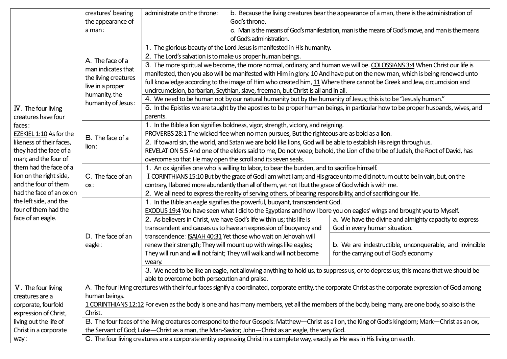|                                                                                 | creatures' bearing                                                                                                                                        | administrate on the throne:                                                                                                      |                                                                                                  | b. Because the living creatures bear the appearance of a man, there is the administration of |  |  |
|---------------------------------------------------------------------------------|-----------------------------------------------------------------------------------------------------------------------------------------------------------|----------------------------------------------------------------------------------------------------------------------------------|--------------------------------------------------------------------------------------------------|----------------------------------------------------------------------------------------------|--|--|
|                                                                                 | the appearance of                                                                                                                                         |                                                                                                                                  | God's throne.                                                                                    |                                                                                              |  |  |
|                                                                                 | a man:                                                                                                                                                    |                                                                                                                                  | c. Man is the means of God's manifestation, man is the means of God's move, and man is the means |                                                                                              |  |  |
|                                                                                 |                                                                                                                                                           | of God's administration.                                                                                                         |                                                                                                  |                                                                                              |  |  |
| IV. The four living<br>creatures have four<br>faces:<br>EZEKIEL 1:10 As for the | A. The face of a<br>man indicates that<br>the living creatures<br>live in a proper<br>humanity, the<br>humanity of Jesus:                                 | 1. The glorious beauty of the Lord Jesus is manifested in His humanity.                                                          |                                                                                                  |                                                                                              |  |  |
|                                                                                 |                                                                                                                                                           | 2. The Lord's salvation is to make us proper human beings.                                                                       |                                                                                                  |                                                                                              |  |  |
|                                                                                 |                                                                                                                                                           | 3. The more spiritual we become, the more normal, ordinary, and human we will be. COLOSSIANS 3:4 When Christ our life is         |                                                                                                  |                                                                                              |  |  |
|                                                                                 |                                                                                                                                                           | manifested, then you also will be manifested with Him in glory. 10 And have put on the new man, which is being renewed unto      |                                                                                                  |                                                                                              |  |  |
|                                                                                 |                                                                                                                                                           | full knowledge according to the image of Him who created him, 11 Where there cannot be Greek and Jew, circumcision and           |                                                                                                  |                                                                                              |  |  |
|                                                                                 |                                                                                                                                                           | uncircumcision, barbarian, Scythian, slave, freeman, but Christ is all and in all.                                               |                                                                                                  |                                                                                              |  |  |
|                                                                                 |                                                                                                                                                           | 4. We need to be human not by our natural humanity but by the humanity of Jesus; this is to be "Jesusly human."                  |                                                                                                  |                                                                                              |  |  |
|                                                                                 |                                                                                                                                                           | 5. In the Epistles we are taught by the apostles to be proper human beings, in particular how to be proper husbands, wives, and  |                                                                                                  |                                                                                              |  |  |
|                                                                                 |                                                                                                                                                           | parents.                                                                                                                         |                                                                                                  |                                                                                              |  |  |
|                                                                                 | B. The face of a<br>lion:                                                                                                                                 | 1. In the Bible a lion signifies boldness, vigor, strength, victory, and reigning.                                               |                                                                                                  |                                                                                              |  |  |
|                                                                                 |                                                                                                                                                           | PROVERBS 28:1 The wicked flee when no man pursues, But the righteous are as bold as a lion.                                      |                                                                                                  |                                                                                              |  |  |
| likeness of their faces,                                                        |                                                                                                                                                           | 2. If toward sin, the world, and Satan we are bold like lions, God will be able to establish His reign through us.               |                                                                                                  |                                                                                              |  |  |
| they had the face of a                                                          |                                                                                                                                                           | REVELATION 5:5 And one of the elders said to me, Do not weep; behold, the Lion of the tribe of Judah, the Root of David, has     |                                                                                                  |                                                                                              |  |  |
| man; and the four of                                                            |                                                                                                                                                           | overcome so that He may open the scroll and its seven seals.                                                                     |                                                                                                  |                                                                                              |  |  |
| them had the face of a                                                          | C. The face of an<br>OX:                                                                                                                                  | 1. An ox signifies one who is willing to labor, to bear the burden, and to sacrifice himself.                                    |                                                                                                  |                                                                                              |  |  |
| lion on the right side,                                                         |                                                                                                                                                           | I CORINTHIANS 15:10 But by the grace of God I am what I am; and His grace unto me did not turn out to be in vain, but, on the    |                                                                                                  |                                                                                              |  |  |
| and the four of them                                                            |                                                                                                                                                           | contrary, I labored more abundantly than all of them, yet not I but the grace of God which is with me.                           |                                                                                                  |                                                                                              |  |  |
| had the face of an ox on<br>the left side, and the                              |                                                                                                                                                           | 2. We all need to express the reality of serving others, of bearing responsibility, and of sacrificing our life.                 |                                                                                                  |                                                                                              |  |  |
|                                                                                 | D. The face of an<br>eagle:                                                                                                                               | 1. In the Bible an eagle signifies the powerful, buoyant, transcendent God.                                                      |                                                                                                  |                                                                                              |  |  |
| four of them had the                                                            |                                                                                                                                                           | EXODUS 19:4 You have seen what I did to the Egyptians and how I bore you on eagles' wings and brought you to Myself.             |                                                                                                  |                                                                                              |  |  |
| face of an eagle.                                                               |                                                                                                                                                           |                                                                                                                                  | 2. As believers in Christ, we have God's life within us; this life is                            | a. We have the divine and almighty capacity to express                                       |  |  |
|                                                                                 |                                                                                                                                                           |                                                                                                                                  | transcendent and causes us to have an expression of buoyancy and                                 | God in every human situation.                                                                |  |  |
|                                                                                 |                                                                                                                                                           |                                                                                                                                  | transcendence: ISAIAH 40:31 Yet those who wait on Jehovah will                                   |                                                                                              |  |  |
|                                                                                 |                                                                                                                                                           |                                                                                                                                  | renew their strength; They will mount up with wings like eagles;                                 | b. We are indestructible, unconquerable, and invincible                                      |  |  |
|                                                                                 |                                                                                                                                                           |                                                                                                                                  | They will run and will not faint; They will walk and will not become                             | for the carrying out of God's economy                                                        |  |  |
|                                                                                 |                                                                                                                                                           | weary.                                                                                                                           |                                                                                                  |                                                                                              |  |  |
|                                                                                 |                                                                                                                                                           | 3. We need to be like an eagle, not allowing anything to hold us, to suppress us, or to depress us; this means that we should be |                                                                                                  |                                                                                              |  |  |
|                                                                                 |                                                                                                                                                           | able to overcome both persecution and praise.                                                                                    |                                                                                                  |                                                                                              |  |  |
| V. The four living                                                              | A. The four living creatures with their four faces signify a coordinated, corporate entity, the corporate Christ as the corporate expression of God among |                                                                                                                                  |                                                                                                  |                                                                                              |  |  |
| creatures are a                                                                 | human beings.                                                                                                                                             |                                                                                                                                  |                                                                                                  |                                                                                              |  |  |
| corporate, fourfold                                                             | 1 CORINTHIANS 12:12 For even as the body is one and has many members, yet all the members of the body, being many, are one body, so also is the           |                                                                                                                                  |                                                                                                  |                                                                                              |  |  |
| expression of Christ,                                                           | Christ.                                                                                                                                                   |                                                                                                                                  |                                                                                                  |                                                                                              |  |  |
| living out the life of                                                          | B. The four faces of the living creatures correspond to the four Gospels: Matthew-Christ as a lion, the King of God's kingdom; Mark-Christ as an ox,      |                                                                                                                                  |                                                                                                  |                                                                                              |  |  |
| Christ in a corporate                                                           | the Servant of God; Luke—Christ as a man, the Man-Savior; John—Christ as an eagle, the very God.                                                          |                                                                                                                                  |                                                                                                  |                                                                                              |  |  |
| way:                                                                            | C. The four living creatures are a corporate entity expressing Christ in a complete way, exactly as He was in His living on earth.                        |                                                                                                                                  |                                                                                                  |                                                                                              |  |  |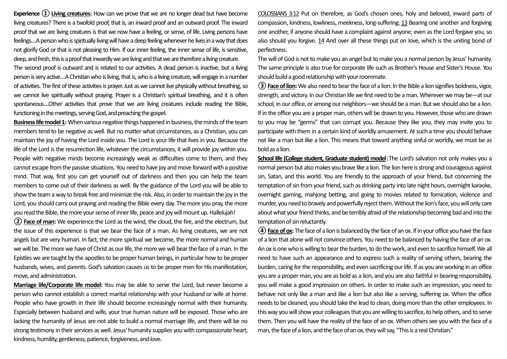**Experience ① Living creatures:** How can we prove that we are no longer dead but have become living creatures? There is a twofold proof, that is, an inward proof and an outward proof. The inward proof that we are living creatures is that we now have a feeling, or sense, of life. Living persons have feelings....A person who is spiritually living will have a deep feeling whenever he lives in a way that does not glorify God or that is not pleasing to Him. If our inner feeling, the inner sense of life, is sensitive, deep, and fresh, this is a proof that inwardly we are living and that we are therefore a living creature.

The second proof is outward and is related to our activities. A dead person is inactive, but a living person is very active....A Christian who is living, that is, who is a living creature, will engage in a number of activities. The first of these activities is prayer. Just as we cannot live physically without breathing, so we cannot live spiritually without praying. Prayer is a Christian's spiritual breathing, and it is often spontaneous....Other activities that prove that we are living creatures include reading the Bible, functioning in the meetings, serving God, and preaching the gospel.

**Business life model 1:** When various negative things happened in business, the minds of the team members tend to be negative as well. But no matter what circumstances, as a Christian, you can maintain the joy of having the Lord inside you. The Lord is your life that lives in you. Because the life of the Lord is the resurrection life, whatever the circumstances, it will provide joy within you. People with negative minds become increasingly weak as difficulties come to them, and they cannot escape from the passive situations. You need to have joy and move forward with a positive mind. That way, first you can get yourself out of darkness and then you can help the team members to come out of their darkness as well. By the guidance of the Lord you will be able to show the team a way to break free and minimize the risk. Also, in order to maintain the joy in the Lord, you should carry out praying and reading the Bible every day. The more you pray, the more you read the Bible, the more your sense of inner life, peace and joy will mount up. Hallelujah!

**②Face of man:** We experience the Lord as the wind, the cloud, the fire, and the electrum, but the issue of this experience is that we bear the face of a man. As living creatures, we are not angels but are very human. In fact, the more spiritual we become, the more normal and human we will be. The more we have of Christ as our life, the more we will bear the face of a man. In the Epistles we are taught by the apostles to be proper human beings, in particular how to be proper husbands, wives, and parents. God's salvation causes us to be proper men for His manifestation, move, and administration.

**Marriage life/Corporate life model:** You may be able to serve the Lord, but never become a person who cannot establish a correct marital relationship with your husband or wife at home. People who have growth in their life should become increasingly normal with their humanity. Especially between husband and wife, your true human nature will be exposed. Those who are lacking the humanity of Jesus are not able to build a normal marriage life, and there will be no strong testimony in their services as well. Jesus' humanity supplies you with compassionate heart, kindness, humility, gentleness, patience, forgiveness, and love.

COLOSSIANS 3:12 Put on therefore, as God's chosen ones, holy and beloved, inward parts of compassion, kindness, lowliness, meekness, long-suffering; 13 Bearing one another and forgiving one another, if anyone should have a complaint against anyone; even as the Lord forgave you, so also should you forgive. 14 And over all these things put on love, which is the uniting bond of perfectness.

The will of God is not to make you an angel but to make you a normal person by Jesus' humanity. The same principle is also true for corporate life such as Brother's House and Sister's House. You should build a good relationship with your roommate.

**③Face of lion:** We also need to bear the face of a lion. In the Bible a lion signifies boldness, vigor, strength, and victory. In our Christian life we first need to be a man. Wherever we may be—at our school, in our office, or among our neighbors—we should be a man. But we should also be a lion. If in the office you are a proper man, others will be drawn to you. However, those who are drawn to you may be "germs" that can corrupt you. Because they like you, they may invite you to participate with them in a certain kind of worldly amusement. At such a time you should behave not like a man but like a lion. This means that toward anything sinful or worldly, we must be as bold as a lion.

**School life (College student, Graduate student) model**: The Lord's salvation not only makes you a normal person but also makes you brave like a lion. The lion here is strong and courageous against sin, Satan, and this world. You are friendly to the approach of your friend, but concerning the temptation of sin from your friend, such as drinking party into late night hours, overnight karaoke, overnight gaming, mahjong betting, and going to movies related to fornication, violence and murder, you need to bravely and powerfully reject them. Without the lion's face, you will only care about what your friend thinks, and be terribly afraid of the relationship becoming bad and into the temptation of sin reluctantly.

**④Face of ox:** The face of a lion is balanced by the face of an ox. If in your office you have the face of a lion that alone will not convince others. You need to be balanced by having the face of an ox. An ox is one who is willing to bear the burden, to do the work, and even to sacrifice himself. We all need to have such an appearance and to express such a reality of serving others, bearing the burden, caring for the responsibility, and even sacrificing our life. If as you are working in an office you are a proper man, you are as bold as a lion, and you are also faithful in bearing responsibility, you will make a good impression on others. In order to make such an impression, you need to behave not only like a man and like a lion but also like a serving, suffering ox. When the office needs to be cleaned, you should take the lead to clean, doing more than the other employees. In this way you will show your colleagues that you are willing to sacrifice, to help others, and to serve them. Then you will have the reality of the face of an ox. When others see you with the face of a man, the face of a lion, and the face of an ox, they will say, "This is a real Christian."